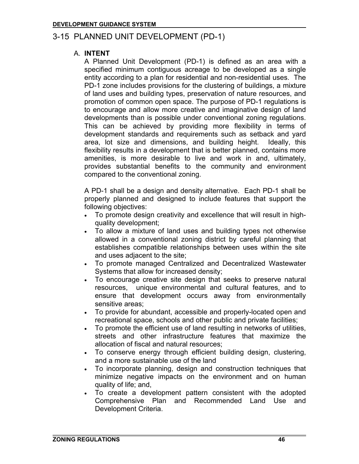# 3-15 PLANNED UNIT DEVELOPMENT (PD-1)

### A. **INTENT**

A Planned Unit Development (PD-1) is defined as an area with a specified minimum contiguous acreage to be developed as a single entity according to a plan for residential and non-residential uses. The PD-1 zone includes provisions for the clustering of buildings, a mixture of land uses and building types, preservation of nature resources, and promotion of common open space. The purpose of PD-1 regulations is to encourage and allow more creative and imaginative design of land developments than is possible under conventional zoning regulations. This can be achieved by providing more flexibility in terms of development standards and requirements such as setback and yard area, lot size and dimensions, and building height. Ideally, this flexibility results in a development that is better planned, contains more amenities, is more desirable to live and work in and, ultimately, provides substantial benefits to the community and environment compared to the conventional zoning.

A PD-1 shall be a design and density alternative. Each PD-1 shall be properly planned and designed to include features that support the following objectives:

- To promote design creativity and excellence that will result in highquality development;
- To allow a mixture of land uses and building types not otherwise allowed in a conventional zoning district by careful planning that establishes compatible relationships between uses within the site and uses adjacent to the site;
- To promote managed Centralized and Decentralized Wastewater Systems that allow for increased density;
- To encourage creative site design that seeks to preserve natural resources, unique environmental and cultural features, and to ensure that development occurs away from environmentally sensitive areas;
- To provide for abundant, accessible and properly-located open and recreational space, schools and other public and private facilities;
- To promote the efficient use of land resulting in networks of utilities, streets and other infrastructure features that maximize the allocation of fiscal and natural resources;
- To conserve energy through efficient building design, clustering, and a more sustainable use of the land
- To incorporate planning, design and construction techniques that minimize negative impacts on the environment and on human quality of life; and,
- To create a development pattern consistent with the adopted Comprehensive Plan and Recommended Land Use and Development Criteria.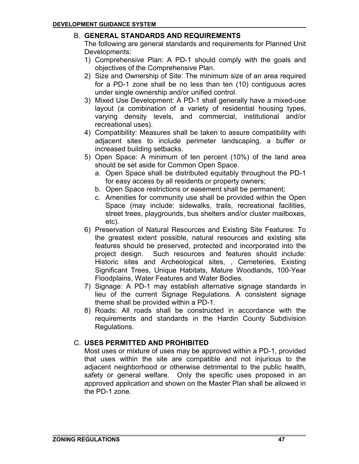## B. **GENERAL STANDARDS AND REQUIREMENTS**

The following are general standards and requirements for Planned Unit Developments:

- 1) Comprehensive Plan: A PD-1 should comply with the goals and objectives of the Comprehensive Plan.
- 2) Size and Ownership of Site: The minimum size of an area required for a PD-1 zone shall be no less than ten (10) contiguous acres under single ownership and/or unified control.
- 3) Mixed Use Development: A PD-1 shall generally have a mixed-use layout (a combination of a variety of residential housing types, varying density levels, and commercial, institutional and/or recreational uses).
- 4) Compatibility: Measures shall be taken to assure compatibility with adjacent sites to include perimeter landscaping, a buffer or increased building setbacks.
- 5) Open Space: A minimum of ten percent (10%) of the land area should be set aside for Common Open Space.
	- a. Open Space shall be distributed equitably throughout the PD-1 for easy access by all residents or property owners;
	- b. Open Space restrictions or easement shall be permanent;
	- c. Amenities for community use shall be provided within the Open Space (may include: sidewalks, trails, recreational facilities, street trees, playgrounds, bus shelters and/or cluster mailboxes, etc).
- 6) Preservation of Natural Resources and Existing Site Features: To the greatest extent possible, natural resources and existing site features should be preserved, protected and incorporated into the project design. Such resources and features should include: Historic sites and Archeological sites, , Cemeteries, Existing Significant Trees, Unique Habitats, Mature Woodlands, 100-Year Floodplains, Water Features and Water Bodies.
- 7) Signage: A PD-1 may establish alternative signage standards in lieu of the current Signage Regulations. A consistent signage theme shall be provided within a PD-1.
- 8) Roads: All roads shall be constructed in accordance with the requirements and standards in the Hardin County Subdivision Regulations.

# C. **USES PERMITTED AND PROHIBITED**

Most uses or mixture of uses may be approved within a PD-1, provided that uses within the site are compatible and not injurious to the adjacent neighborhood or otherwise detrimental to the public health, safety or general welfare. Only the specific uses proposed in an approved application and shown on the Master Plan shall be allowed in the PD-1 zone.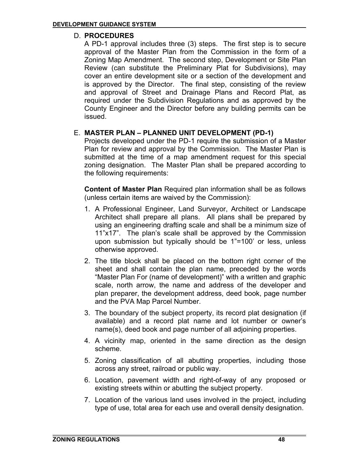### D. **PROCEDURES**

A PD-1 approval includes three (3) steps. The first step is to secure approval of the Master Plan from the Commission in the form of a Zoning Map Amendment. The second step, Development or Site Plan Review (can substitute the Preliminary Plat for Subdivisions), may cover an entire development site or a section of the development and is approved by the Director. The final step, consisting of the review and approval of Street and Drainage Plans and Record Plat, as required under the Subdivision Regulations and as approved by the County Engineer and the Director before any building permits can be issued.

### E. **MASTER PLAN – PLANNED UNIT DEVELOPMENT (PD-1)**

Projects developed under the PD-1 require the submission of a Master Plan for review and approval by the Commission. The Master Plan is submitted at the time of a map amendment request for this special zoning designation. The Master Plan shall be prepared according to the following requirements:

**Content of Master Plan** Required plan information shall be as follows (unless certain items are waived by the Commission):

- 1. A Professional Engineer, Land Surveyor, Architect or Landscape Architect shall prepare all plans. All plans shall be prepared by using an engineering drafting scale and shall be a minimum size of 11"x17". The plan's scale shall be approved by the Commission upon submission but typically should be 1"=100' or less, unless otherwise approved.
- 2. The title block shall be placed on the bottom right corner of the sheet and shall contain the plan name, preceded by the words "Master Plan For (name of development)" with a written and graphic scale, north arrow, the name and address of the developer and plan preparer, the development address, deed book, page number and the PVA Map Parcel Number.
- 3. The boundary of the subject property, its record plat designation (if available) and a record plat name and lot number or owner's name(s), deed book and page number of all adjoining properties.
- 4. A vicinity map, oriented in the same direction as the design scheme.
- 5. Zoning classification of all abutting properties, including those across any street, railroad or public way.
- 6. Location, pavement width and right-of-way of any proposed or existing streets within or abutting the subject property.
- 7. Location of the various land uses involved in the project, including type of use, total area for each use and overall density designation.